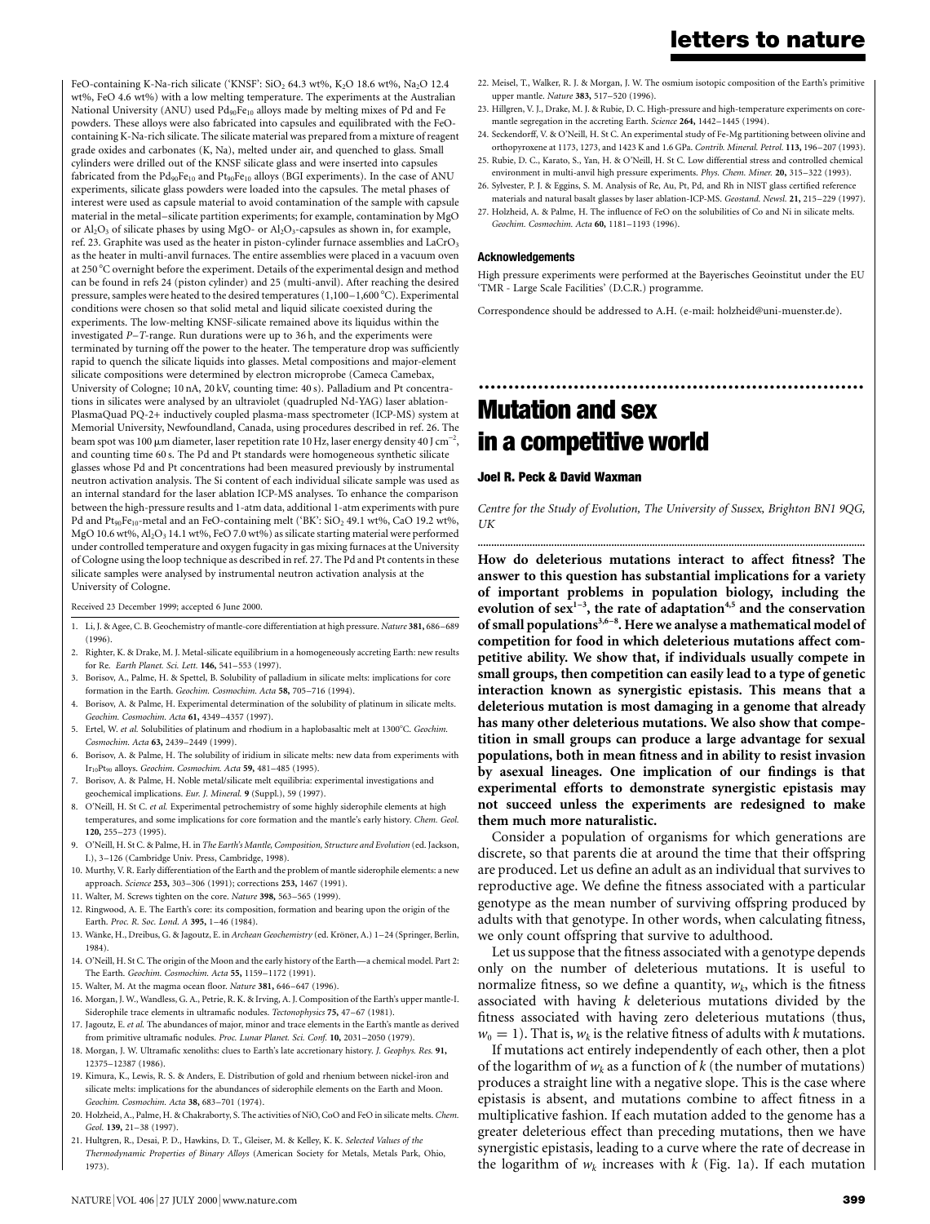FeO-containing K-Na-rich silicate ('KNSF':  $SiO<sub>2</sub>$  64.3 wt%, K<sub>2</sub>O 18.6 wt%, Na<sub>2</sub>O 12.4 wt%, FeO 4.6 wt%) with a low melting temperature. The experiments at the Australian National University (ANU) used Pd<sub>90</sub>Fe<sub>10</sub> alloys made by melting mixes of Pd and Fe powders. These alloys were also fabricated into capsules and equilibrated with the FeOcontaining K-Na-rich silicate. The silicate material was prepared from a mixture of reagent grade oxides and carbonates (K, Na), melted under air, and quenched to glass. Small cylinders were drilled out of the KNSF silicate glass and were inserted into capsules fabricated from the  $Pd_{90}Fe_{10}$  and  $Pt_{90}Fe_{10}$  alloys (BGI experiments). In the case of ANU experiments, silicate glass powders were loaded into the capsules. The metal phases of interest were used as capsule material to avoid contamination of the sample with capsule material in the metal-silicate partition experiments; for example, contamination by MgO or  $Al_2O_3$  of silicate phases by using MgO- or  $Al_2O_3$ -capsules as shown in, for example, ref. 23. Graphite was used as the heater in piston-cylinder furnace assemblies and LaCrO<sub>3</sub> as the heater in multi-anvil furnaces. The entire assemblies were placed in a vacuum oven at 250 °C overnight before the experiment. Details of the experimental design and method can be found in refs 24 (piston cylinder) and 25 (multi-anvil). After reaching the desired pressure, samples were heated to the desired temperatures  $(1,100-1,600\degree C)$ . Experimental conditions were chosen so that solid metal and liquid silicate coexisted during the experiments. The low-melting KNSF-silicate remained above its liquidus within the investigated  $P-T$ -range. Run durations were up to 36 h, and the experiments were terminated by turning off the power to the heater. The temperature drop was sufficiently rapid to quench the silicate liquids into glasses. Metal compositions and major-element silicate compositions were determined by electron microprobe (Cameca Camebax, University of Cologne; 10 nA, 20 kV, counting time: 40 s). Palladium and Pt concentrations in silicates were analysed by an ultraviolet (quadrupled Nd-YAG) laser ablation-PlasmaQuad PQ-2+ inductively coupled plasma-mass spectrometer (ICP-MS) system at Memorial University, Newfoundland, Canada, using procedures described in ref. 26. The beam spot was 100  $\mu$ m diameter, laser repetition rate 10 Hz, laser energy density 40 J cm<sup>-2</sup>, and counting time 60 s. The Pd and Pt standards were homogeneous synthetic silicate glasses whose Pd and Pt concentrations had been measured previously by instrumental neutron activation analysis. The Si content of each individual silicate sample was used as an internal standard for the laser ablation ICP-MS analyses. To enhance the comparison between the high-pressure results and 1-atm data, additional 1-atm experiments with pure Pd and Pt<sub>90</sub>Fe<sub>10</sub>-metal and an FeO-containing melt ('BK': SiO<sub>2</sub> 49.1 wt%, CaO 19.2 wt%, MgO 10.6 wt%,  $\text{Al}_2\text{O}_3$  14.1 wt%, FeO 7.0 wt%) as silicate starting material were performed under controlled temperature and oxygen fugacity in gas mixing furnaces at the University of Cologne using the loop technique as described in ref. 27. The Pd and Pt contents in these silicate samples were analysed by instrumental neutron activation analysis at the University of Cologne.

Received 23 December 1999; accepted 6 June 2000.

- 1. Li, J. & Agee, C. B. Geochemistry of mantle-core differentiation at high pressure. Nature 381, 686-689 (1996).
- 2. Righter, K. & Drake, M. J. Metal-silicate equilibrium in a homogeneously accreting Earth: new results for Re. Earth Planet. Sci. Lett. 146, 541-553 (1997).
- 3. Borisov, A., Palme, H. & Spettel, B. Solubility of palladium in silicate melts: implications for core formation in the Earth. Geochim. Cosmochim. Acta 58, 705-716 (1994).
- 4. Borisov, A. & Palme, H. Experimental determination of the solubility of platinum in silicate melts. Geochim. Cosmochim. Acta 61, 4349-4357 (1997).
- 5. Ertel, W. et al. Solubilities of platinum and rhodium in a haplobasaltic melt at 1300°C. Geochim. Cosmochim. Acta 63, 2439-2449 (1999).
- 6. Borisov, A. & Palme, H. The solubility of iridium in silicate melts: new data from experiments with Ir<sub>10</sub>Pt<sub>90</sub> alloys. Geochim. Cosmochim. Acta 59, 481-485 (1995).
- 7. Borisov, A. & Palme, H. Noble metal/silicate melt equilibria: experimental investigations and geochemical implications. Eur. J. Mineral. 9 (Suppl.), 59 (1997).
- 8. O'Neill, H. St C. et al. Experimental petrochemistry of some highly siderophile elements at high temperatures, and some implications for core formation and the mantle's early history. Chem. Geol. 120, 255±273 (1995).
- 9. O'Neill, H. St C. & Palme, H. in The Earth's Mantle, Composition, Structure and Evolution (ed. Jackson, I.), 3-126 (Cambridge Univ. Press, Cambridge, 1998).
- 10. Murthy, V. R. Early differentiation of the Earth and the problem of mantle siderophile elements: a new approach. Science 253, 303-306 (1991); corrections 253, 1467 (1991).
- 11. Walter, M. Screws tighten on the core. Nature 398, 563-565 (1999).
- 12. Ringwood, A. E. The Earth's core: its composition, formation and bearing upon the origin of the Earth. Proc. R. Soc. Lond. A 395, 1-46 (1984).
- 13. Wänke, H., Dreibus, G. & Jagoutz, E. in Archean Geochemistry (ed. Kröner, A.) 1-24 (Springer, Berlin, 1984).
- 14. O'Neill, H. St C. The origin of the Moon and the early history of the Earth—a chemical model. Part 2: The Earth. Geochim. Cosmochim. Acta 55, 1159-1172 (1991).
- 15. Walter, M. At the magma ocean floor. Nature 381, 646-647 (1996).
- 16. Morgan, J. W., Wandless, G. A., Petrie, R. K. & Irving, A. J. Composition of the Earth's upper mantle-I. Siderophile trace elements in ultramafic nodules. Tectonophysics 75, 47-67 (1981).
- 17. Jagoutz, E. et al. The abundances of major, minor and trace elements in the Earth's mantle as derived from primitive ultramafic nodules. Proc. Lunar Planet. Sci. Conf. 10, 2031-2050 (1979).
- 18. Morgan, J. W. Ultramafic xenoliths: clues to Earth's late accretionary history. J. Geophys. Res. 91, 12375±12387 (1986).
- 19. Kimura, K., Lewis, R. S. & Anders, E. Distribution of gold and rhenium between nickel-iron and silicate melts: implications for the abundances of siderophile elements on the Earth and Moon. Geochim. Cosmochim. Acta 38, 683-701 (1974).
- 20. Holzheid, A., Palme, H. & Chakraborty, S. The activities of NiO, CoO and FeO in silicate melts. Chem. Geol. 139, 21-38 (1997).
- 21. Hultgren, R., Desai, P. D., Hawkins, D. T., Gleiser, M. & Kelley, K. K. Selected Values of the Thermodynamic Properties of Binary Alloys (American Society for Metals, Metals Park, Ohio, 1973).
- 22. Meisel, T., Walker, R. J. & Morgan, J. W. The osmium isotopic composition of the Earth's primitive upper mantle. Nature 383, 517-520 (1996).
- 23. Hillgren, V. J., Drake, M. J. & Rubie, D. C. High-pressure and high-temperature experiments on coremantle segregation in the accreting Earth. Science 264, 1442-1445 (1994).
- 24. Seckendorff, V. & O'Neill, H. St C. An experimental study of Fe-Mg partitioning between olivine and orthopyroxene at 1173, 1273, and 1423 K and 1.6 GPa. Contrib. Mineral. Petrol. 113, 196-207 (1993).
- 25. Rubie, D. C., Karato, S., Yan, H. & O'Neill, H. St C. Low differential stress and controlled chemical environment in multi-anvil high pressure experiments. Phys. Chem. Miner. 20, 315-322 (1993).
- 26. Sylvester, P. J. & Eggins, S. M. Analysis of Re, Au, Pt, Pd, and Rh in NIST glass certified reference materials and natural basalt glasses by laser ablation-ICP-MS. Geostand. Newsl. 21, 215-229 (1997).
- 27. Holzheid, A. & Palme, H. The influence of FeO on the solubilities of Co and Ni in silicate melts. Geochim. Cosmochim. Acta 60, 1181-1193 (1996).

#### Acknowledgements

High pressure experiments were performed at the Bayerisches Geoinstitut under the EU `TMR - Large Scale Facilities' (D.C.R.) programme.

Correspondence should be addressed to A.H. (e-mail: holzheid@uni-muenster.de).

# ................................................................. Mutation and sex in a competitive world

### Joel R. Peck & David Waxman

Centre for the Study of Evolution, The University of Sussex, Brighton BN1 9QG, UK

.............................................................................................................................................. How do deleterious mutations interact to affect fitness? The answer to this question has substantial implications for a variety of important problems in population biology, including the evolution of  $sex^{1-3}$ , the rate of adaptation<sup>4,5</sup> and the conservation of small populations<sup>3,6-8</sup>. Here we analyse a mathematical model of competition for food in which deleterious mutations affect competitive ability. We show that, if individuals usually compete in small groups, then competition can easily lead to a type of genetic interaction known as synergistic epistasis. This means that a deleterious mutation is most damaging in a genome that already has many other deleterious mutations. We also show that competition in small groups can produce a large advantage for sexual populations, both in mean fitness and in ability to resist invasion by asexual lineages. One implication of our findings is that experimental efforts to demonstrate synergistic epistasis may not succeed unless the experiments are redesigned to make them much more naturalistic.

Consider a population of organisms for which generations are discrete, so that parents die at around the time that their offspring are produced. Let us define an adult as an individual that survives to reproductive age. We define the fitness associated with a particular genotype as the mean number of surviving offspring produced by adults with that genotype. In other words, when calculating fitness, we only count offspring that survive to adulthood.

Let us suppose that the fitness associated with a genotype depends only on the number of deleterious mutations. It is useful to normalize fitness, so we define a quantity,  $w_k$ , which is the fitness associated with having  $k$  deleterious mutations divided by the fitness associated with having zero deleterious mutations (thus,  $w_0 = 1$ ). That is,  $w_k$  is the relative fitness of adults with k mutations.

If mutations act entirely independently of each other, then a plot of the logarithm of  $w_k$  as a function of k (the number of mutations) produces a straight line with a negative slope. This is the case where epistasis is absent, and mutations combine to affect fitness in a multiplicative fashion. If each mutation added to the genome has a greater deleterious effect than preceding mutations, then we have synergistic epistasis, leading to a curve where the rate of decrease in the logarithm of  $w_k$  increases with  $k$  (Fig. 1a). If each mutation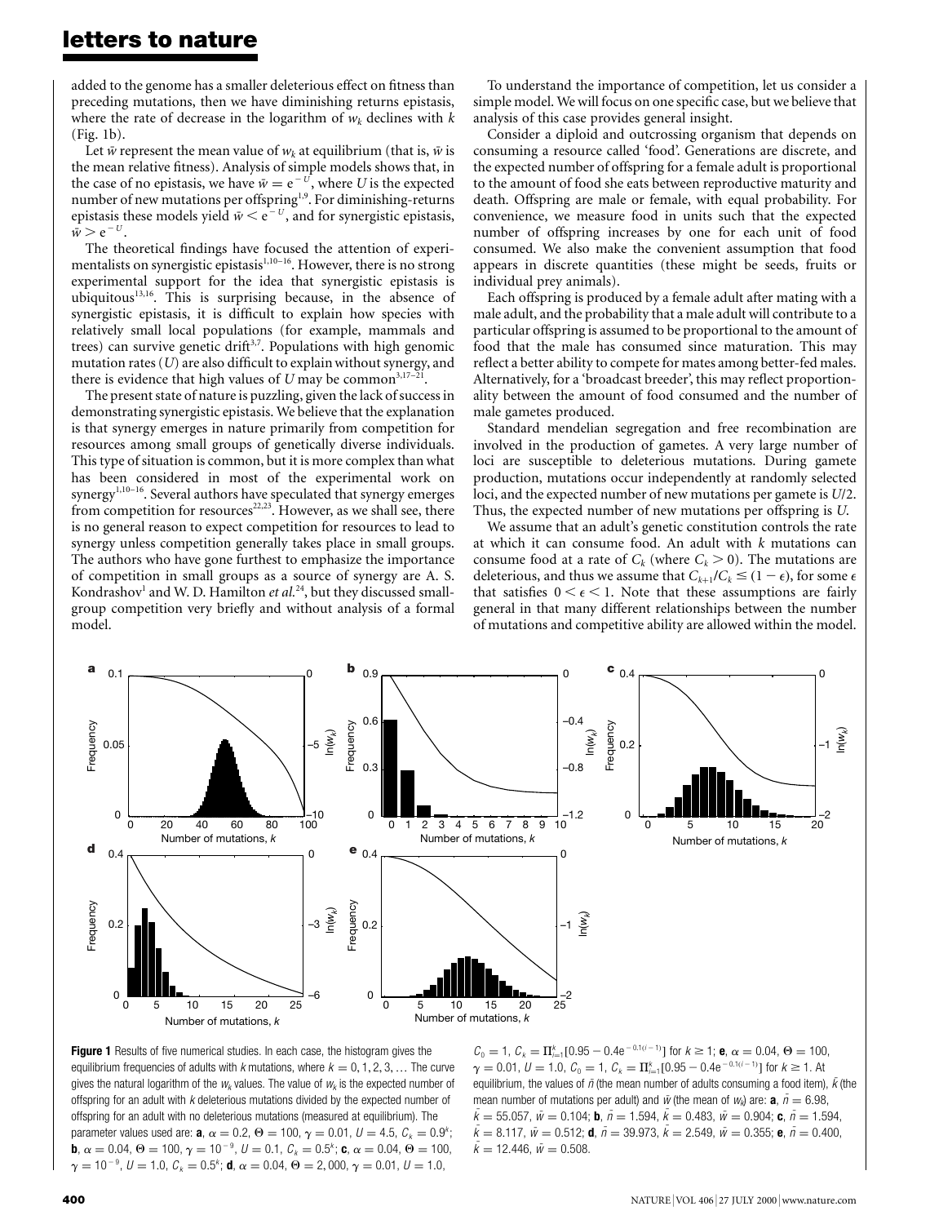# letters to nature

added to the genome has a smaller deleterious effect on fitness than preceding mutations, then we have diminishing returns epistasis, where the rate of decrease in the logarithm of  $w_k$  declines with  $k$ (Fig. 1b).

Let  $\bar{w}$  represent the mean value of  $w_k$  at equilibrium (that is,  $\bar{w}$  is the mean relative fitness). Analysis of simple models shows that, in the case of no epistasis, we have  $\bar{w} = e^{-U}$ , where U is the expected number of new mutations per offspring<sup>1,9</sup>. For diminishing-returns epistasis these models yield  $\bar{w} \le e^{-U}$ , and for synergistic epistasis,  $\bar{w} > e^{-U}$ .

The theoretical findings have focused the attention of experimentalists on synergistic epistasis<sup>1,10-16</sup>. However, there is no strong experimental support for the idea that synergistic epistasis is ubiquitous<sup>13,16</sup>. This is surprising because, in the absence of synergistic epistasis, it is difficult to explain how species with relatively small local populations (for example, mammals and trees) can survive genetic drift<sup>3,7</sup>. Populations with high genomic mutation rates  $(U)$  are also difficult to explain without synergy, and there is evidence that high values of  $U$  may be common<sup>3,17-21</sup>.

The present state of nature is puzzling, given the lack of success in demonstrating synergistic epistasis. We believe that the explanation is that synergy emerges in nature primarily from competition for resources among small groups of genetically diverse individuals. This type of situation is common, but it is more complex than what has been considered in most of the experimental work on synergy<sup>1,10-16</sup>. Several authors have speculated that synergy emerges from competition for resources<sup>22,23</sup>. However, as we shall see, there is no general reason to expect competition for resources to lead to synergy unless competition generally takes place in small groups. The authors who have gone furthest to emphasize the importance of competition in small groups as a source of synergy are A. S. Kondrashov<sup>1</sup> and W. D. Hamilton et al.<sup>24</sup>, but they discussed smallgroup competition very briefly and without analysis of a formal model.

To understand the importance of competition, let us consider a simple model. We will focus on one specific case, but we believe that analysis of this case provides general insight.

Consider a diploid and outcrossing organism that depends on consuming a resource called `food'. Generations are discrete, and the expected number of offspring for a female adult is proportional to the amount of food she eats between reproductive maturity and death. Offspring are male or female, with equal probability. For convenience, we measure food in units such that the expected number of offspring increases by one for each unit of food consumed. We also make the convenient assumption that food appears in discrete quantities (these might be seeds, fruits or individual prey animals).

Each offspring is produced by a female adult after mating with a male adult, and the probability that a male adult will contribute to a particular offspring is assumed to be proportional to the amount of food that the male has consumed since maturation. This may reflect a better ability to compete for mates among better-fed males. Alternatively, for a 'broadcast breeder', this may reflect proportionality between the amount of food consumed and the number of male gametes produced.

Standard mendelian segregation and free recombination are involved in the production of gametes. A very large number of loci are susceptible to deleterious mutations. During gamete production, mutations occur independently at randomly selected loci, and the expected number of new mutations per gamete is U/2. Thus, the expected number of new mutations per offspring is U.

We assume that an adult's genetic constitution controls the rate at which it can consume food. An adult with k mutations can consume food at a rate of  $C_k$  (where  $C_k > 0$ ). The mutations are deleterious, and thus we assume that  $C_{k+1}/C_k \leq (1 - \epsilon)$ , for some  $\epsilon$ that satisfies  $0 \leq \epsilon \leq 1$ . Note that these assumptions are fairly general in that many different relationships between the number of mutations and competitive ability are allowed within the model.



Figure 1 Results of five numerical studies. In each case, the histogram gives the equilibrium frequencies of adults with k mutations, where  $k = 0, 1, 2, 3, \ldots$  The curve gives the natural logarithm of the  $w_k$  values. The value of  $w_k$  is the expected number of offspring for an adult with  $k$  deleterious mutations divided by the expected number of offspring for an adult with no deleterious mutations (measured at equilibrium). The parameter values used are: **a**,  $\alpha = 0.2$ ,  $\Theta = 100$ ,  $\gamma = 0.01$ ,  $U = 4.5$ ,  $\mathcal{C}_k = 0.9^k$ ; **b**,  $\alpha = 0.04$ ,  $\Theta = 100$ ,  $\gamma = 10^{-9}$ ,  $U = 0.1$ ,  $C_k = 0.5^k$ ; **c**,  $\alpha = 0.04$ ,  $\Theta = 100$ ,  $\gamma=$  10<sup>-9</sup>,  $U=$  1.0,  $C_k=$  0.5<sup>k</sup>; **d**,  $\alpha=$  0.04,  $\Theta=$  2, 000,  $\gamma=$  0.01,  $U=$  1.0,

 $C_0 = 1, C_k = \prod_{i=1}^k [0.95 - 0.4e^{-0.1(i-1)}]$  for  $k \ge 1$ ; **e**,  $\alpha = 0.04, \Theta = 100$ ,  $\gamma =$  0.01,  $U =$  1.0,  $C_0 =$  1,  $C_k = \Pi_{i=1}^k [0.95 - 0.4 e^{-0.1(i-1)}]$  for  $k \ge 1$ . At equilibrium, the values of  $\bar{n}$  (the mean number of adults consuming a food item),  $\bar{k}$  (the mean number of mutations per adult) and  $\bar{w}$  (the mean of  $w_k$ ) are: **a**,  $\bar{n} = 6.98$ , Å  $\bar{k} = 55.057$ ,  $\bar{w} = 0.104$ ; **b**,  $\bar{n} = 1.594$ ,  $\bar{k} = 0.483$ ,  $\bar{w} = 0.904$ ; **c**,  $\bar{n} = 1.594$ , Å  $\overline{k} = 8.117$ ,  $\overline{w} = 0.512$ ; **d**,  $\overline{n} = 39.973$ ,  $\overline{k} = 2.549$ ,  $\overline{w} = 0.355$ ; **e**,  $\overline{n} = 0.400$ , Å  $k = 12.446$ ,  $\bar{W} = 0.508$ .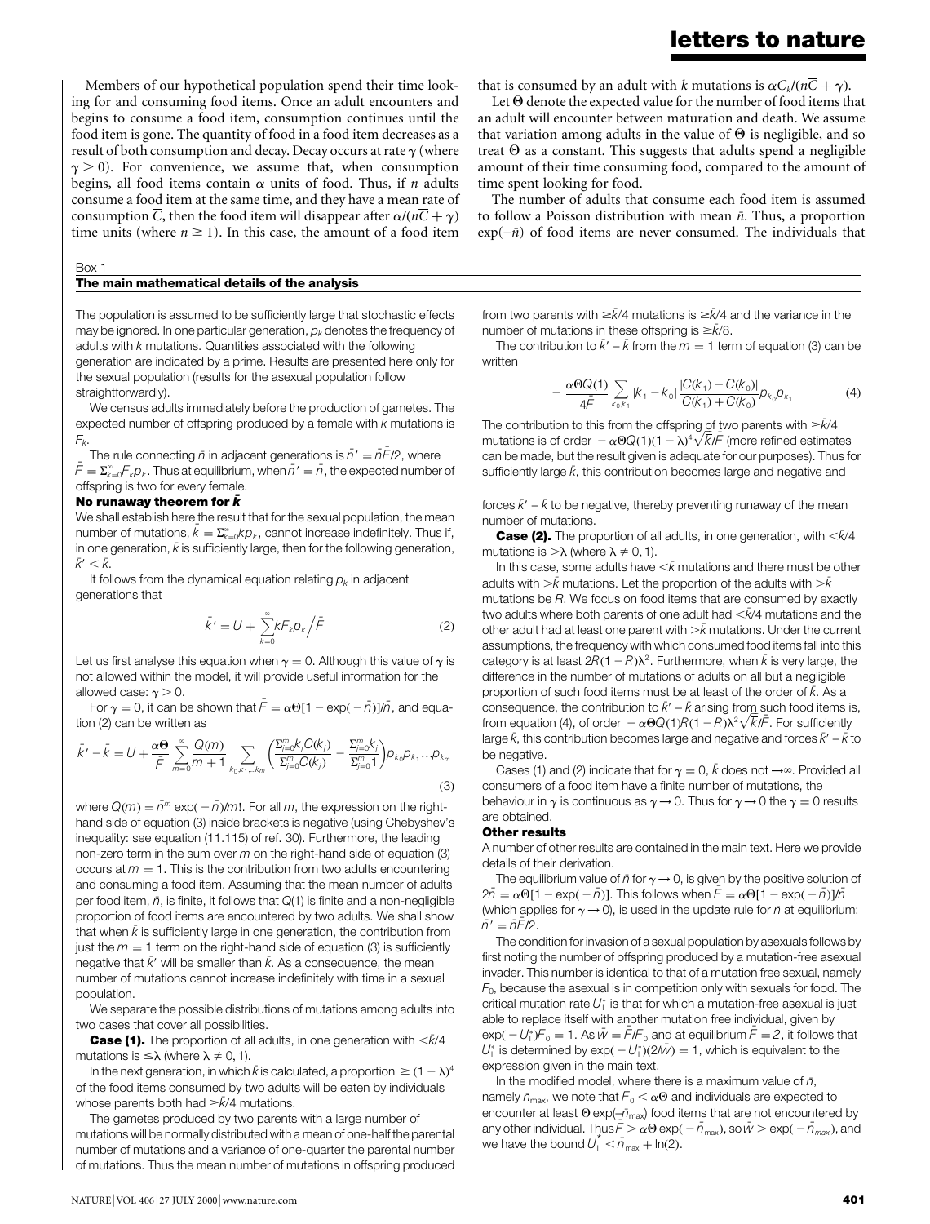# letters to nature

Members of our hypothetical population spend their time looking for and consuming food items. Once an adult encounters and begins to consume a food item, consumption continues until the food item is gone. The quantity of food in a food item decreases as a result of both consumption and decay. Decay occurs at rate  $\gamma$  (where  $\gamma > 0$ ). For convenience, we assume that, when consumption begins, all food items contain  $\alpha$  units of food. Thus, if *n* adults consume a food item at the same time, and they have a mean rate of consumption  $\overline{C}$ , then the food item will disappear after  $\alpha/(n\overline{C} + \gamma)$ time units (where  $n \ge 1$ ). In this case, the amount of a food item

#### Box 1

## The main mathematical details of the analysis

The population is assumed to be sufficiently large that stochastic effects may be ignored. In one particular generation,  $p_k$  denotes the frequency of adults with  $k$  mutations. Quantities associated with the following

generation are indicated by a prime. Results are presented here only for the sexual population (results for the asexual population follow straightforwardly).

We census adults immediately before the production of gametes. The expected number of offspring produced by a female with k mutations is  $F_k$ .

The rule connecting  $\bar{n}$  in adjacent generations is  $\bar{n}' = \bar{n} \bar{F}/2$ , where  $\bar{F} = \Sigma^* \, \mathcal{F}_c \, \rho_c$ . Thus at equilibrium, when  $\bar{n}' = \bar{n}$ , the expected number

 $\mathcal{F} = \Sigma_{k=0}^\infty\mathcal{F}_k\rho_k$  . Thus at equilibrium, when  $\bar{n}^\prime = \bar{n}$  , the expected number of offspring is two for every female.

## No runaway theorem for  $\bar{k}$

We shall establish here the result that for the sexual population, the mean number of mutations,  $\bar{k} = \Sigma_{k=0}^\infty k p_k$ , cannot increase indefinitely. Thus if, in one generation,  $\bar{k}$  is sufficiently large, then for the following generation,  $\bar{k}' < \bar{k}$ .

It follows from the dynamical equation relating  $p_k$  in adjacent generations that

$$
\bar{k}' = U + \sum_{k=0}^{\infty} k F_k p_k / \bar{F}
$$
 (2)

Let us first analyse this equation when  $\gamma = 0$ . Although this value of  $\gamma$  is not allowed within the model, it will provide useful information for the allowed case:  $\gamma > 0$ .

For  $\gamma = 0$ , it can be shown that  $\bar{F} = \alpha \Theta[1 - \exp(-\bar{n})] / \bar{n}$ , and equation (2) can be written as

$$
\bar{k}' - \bar{k} = U + \frac{\alpha \Theta}{\bar{F}} \sum_{m=0}^{\infty} \frac{Q(m)}{m+1} \sum_{k_0, k_1, \dots, k_m} \left( \frac{\sum_{j=0}^{m} k_j C(k_j)}{\sum_{j=0}^{m} C(k_j)} - \frac{\sum_{j=0}^{m} k_j}{\sum_{j=0}^{m} 1} \right) p_{k_0} p_{k_1} \dots p_{k_m}
$$
\n(3)

where  $Q(m) = \bar{n}^m \exp(-\bar{n})/m!$ . For all m, the expression on the righthand side of equation (3) inside brackets is negative (using Chebyshev's inequality: see equation (11.115) of ref. 30). Furthermore, the leading non-zero term in the sum over  $m$  on the right-hand side of equation (3) occurs at  $m = 1$ . This is the contribution from two adults encountering and consuming a food item. Assuming that the mean number of adults per food item,  $\bar{n}$ , is finite, it follows that  $Q(1)$  is finite and a non-negligible proportion of food items are encountered by two adults. We shall show that when  $\bar{k}$  is sufficiently large in one generation, the contribution from just the  $m = 1$  term on the right-hand side of equation (3) is sufficiently negative that  $\bar{k}$ ' will be smaller than  $\bar{k}$ . As a consequence, the mean number of mutations cannot increase indefinitely with time in a sexual population.

We separate the possible distributions of mutations among adults into two cases that cover all possibilities.

**Case (1).** The proportion of all adults, in one generation with  $<\bar{k}/4$ mutations is  $\leq \lambda$  (where  $\lambda \neq 0, 1$ ).

In the next generation, in which  $\bar{k}$  is calculated, a proportion  $\geq (1 - \lambda)^4$ of the food items consumed by two adults will be eaten by individuals whose parents both had  $\geq k/4$  mutations.

The gametes produced by two parents with a large number of mutations will be normally distributed with a mean of one-half the parental number of mutations and a variance of one-quarter the parental number of mutations. Thus the mean number of mutations in offspring produced an adult will encounter between maturation and death. We assume that variation among adults in the value of  $\Theta$  is negligible, and so treat  $\Theta$  as a constant. This suggests that adults spend a negligible amount of their time consuming food, compared to the amount of time spent looking for food.

The number of adults that consume each food item is assumed to follow a Poisson distribution with mean  $\bar{n}$ . Thus, a proportion  $\exp(-\bar{n})$  of food items are never consumed. The individuals that

from two parents with  $\geq \bar{k}/4$  mutations is  $\geq \bar{k}/4$  and the variance in the number of mutations in these offspring is  $\geq \bar{k}/8$ .

The contribution to  $\bar{k}' - \bar{k}$  from the  $m = 1$  term of equation (3) can be written

$$
-\frac{\alpha\Theta Q(1)}{4\bar{F}}\sum_{k_0k_1}|k_1-k_0|\frac{|C(k_1)-C(k_0)|}{C(k_1)+C(k_0)}\rho_{k_0}\rho_{k_1}
$$
(4)

The contribution to this from the offspring of two parents with  $\geq \bar{k}/4$ mutations is of order  $-\alpha \Theta Q(1)(1-\lambda)^4 \sqrt{k}lF$  (more refined estimates can be made, but the result given is adequate for our purposes). Thus for sufficiently large  $\bar{k}$ , this contribution becomes large and negative and

forces  $\bar{k}' - \bar{k}$  to be negative, thereby preventing runaway of the mean number of mutations.

**Case (2).** The proportion of all adults, in one generation, with  $<\bar{k}/4$ mutations is  $\lambda$  (where  $\lambda \neq 0, 1$ ).

In this case, some adults have  $\leq \bar{k}$  mutations and there must be other adults with  $\geq \bar{k}$  mutations. Let the proportion of the adults with  $\geq \bar{k}$ mutations be R. We focus on food items that are consumed by exactly two adults where both parents of one adult had  $\leq k/4$  mutations and the other adult had at least one parent with  $\frac{1}{k}$  mutations. Under the current assumptions, the frequency with which consumed food items fall into this category is at least  $2R(1 - R)\lambda^2$ . Furthermore, when  $\overline{k}$  is very large, the difference in the number of mutations of adults on all but a negligible proportion of such food items must be at least of the order of  $\bar{k}$ . As a consequence, the contribution to  $\bar{k}' - \bar{k}$  arising from such food items is, from equation (4), of order  $-\alpha\Theta Q(1)R(1-R)\lambda^2\sqrt{k}I\overline{F}$ . For sufficiently large  $\bar{k}$ , this contribution becomes large and negative and forces  $\bar{k}' - \bar{k}$  to be negative.

Cases (1) and (2) indicate that for  $\gamma = 0$ ,  $\bar{k}$  does not  $\rightarrow \infty$ . Provided all consumers of a food item have a finite number of mutations, the behaviour in  $\gamma$  is continuous as  $\gamma \rightarrow 0$ . Thus for  $\gamma \rightarrow 0$  the  $\gamma = 0$  results are obtained.

### Other results

A number of other results are contained in the main text. Here we provide details of their derivation.

The equilibrium value of  $\bar{n}$  for  $\gamma \rightarrow 0$ , is given by the positive solution of  $2\bar{n} = \alpha \Theta[1 - \exp(-\bar{n})]$ . This follows when  $\bar{F} = \alpha \Theta[1 - \exp(-\bar{n})]/\bar{n}$ (which applies for  $\gamma \rightarrow 0$ ), is used in the update rule for  $\bar{n}$  at equilibrium:  $\bar{n}' = \bar{n} \bar{F}/2.$ 

The condition for invasion of a sexual population by asexuals follows by first noting the number of offspring produced by a mutation-free asexual invader. This number is identical to that of a mutation free sexual, namely  $F_0$ , because the asexual is in competition only with sexuals for food. The critical mutation rate  $U_{\perp}^*$  is that for which a mutation-free asexual is just able to replace itself with another mutation free individual, given by  $\exp(-U_1^*)F_0 = 1$ . As  $\tilde{W} = \tilde{F}/F_0$  and at equilibrium  $\tilde{F} = 2$ , it follows that  $U_{\perp}^*$  is determined by exp(  $-U_{\perp}^*(2\bar{W})=1$ , which is equivalent to the expression given in the main text.

In the modified model, where there is a maximum value of  $\bar{n}$ , namely  $\bar{n}_{\text{max}}$ , we note that  $F_0 < \alpha \Theta$  and individuals are expected to encounter at least  $\Theta$  exp( $-\bar{n}_{\text{max}}$ ) food items that are not encountered by any other individual. Thus  $\bar{F} > \alpha \Theta$  exp $(-\bar{n}_{\max})$ , so  $\bar{W} >$  exp $(-\bar{n}_{\max})$ , and we have the bound  $U_1^* < \bar{n}_{\text{max}} + \ln(2)$ .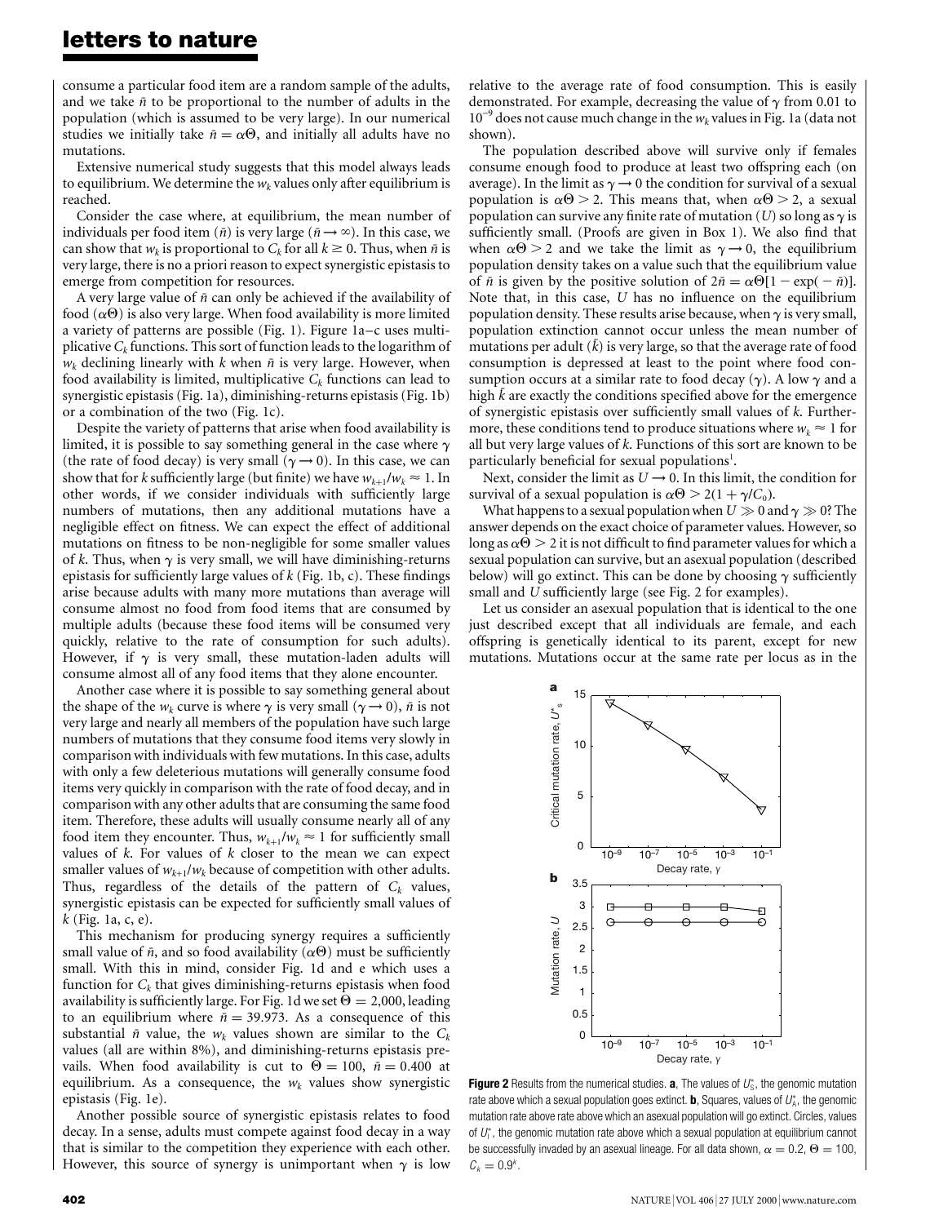consume a particular food item are a random sample of the adults, and we take  $\bar{n}$  to be proportional to the number of adults in the population (which is assumed to be very large). In our numerical studies we initially take  $\bar{n} = \alpha \Theta$ , and initially all adults have no mutations.

Extensive numerical study suggests that this model always leads to equilibrium. We determine the  $w_k$  values only after equilibrium is reached.

Consider the case where, at equilibrium, the mean number of individuals per food item  $(\bar{n})$  is very large  $(\bar{n} \rightarrow \infty)$ . In this case, we can show that  $w_k$  is proportional to  $C_k$  for all  $k \ge 0$ . Thus, when  $\bar{n}$  is very large, there is no a priori reason to expect synergistic epistasis to emerge from competition for resources.

A very large value of  $\bar{n}$  can only be achieved if the availability of food  $(\alpha\Theta)$  is also very large. When food availability is more limited a variety of patterns are possible (Fig. 1). Figure  $1a-c$  uses multiplicative  $C_k$  functions. This sort of function leads to the logarithm of  $w_k$  declining linearly with k when  $\bar{n}$  is very large. However, when food availability is limited, multiplicative  $C_k$  functions can lead to synergistic epistasis (Fig. 1a), diminishing-returns epistasis (Fig. 1b) or a combination of the two (Fig. 1c).

Despite the variety of patterns that arise when food availability is limited, it is possible to say something general in the case where  $\gamma$ (the rate of food decay) is very small ( $\gamma \rightarrow 0$ ). In this case, we can show that for k sufficiently large (but finite) we have  $w_{k+1}/w_k \approx 1$ . In other words, if we consider individuals with sufficiently large numbers of mutations, then any additional mutations have a negligible effect on fitness. We can expect the effect of additional mutations on fitness to be non-negligible for some smaller values of k. Thus, when  $\gamma$  is very small, we will have diminishing-returns epistasis for sufficiently large values of  $k$  (Fig. 1b, c). These findings arise because adults with many more mutations than average will consume almost no food from food items that are consumed by multiple adults (because these food items will be consumed very quickly, relative to the rate of consumption for such adults). However, if  $\gamma$  is very small, these mutation-laden adults will consume almost all of any food items that they alone encounter.

Another case where it is possible to say something general about the shape of the  $w_k$  curve is where  $\gamma$  is very small  $(\gamma \rightarrow 0)$ ,  $\bar{n}$  is not very large and nearly all members of the population have such large numbers of mutations that they consume food items very slowly in comparison with individuals with few mutations. In this case, adults with only a few deleterious mutations will generally consume food items very quickly in comparison with the rate of food decay, and in comparison with any other adults that are consuming the same food item. Therefore, these adults will usually consume nearly all of any food item they encounter. Thus,  $w_{k+1}/w_k \approx 1$  for sufficiently small values of  $k$ . For values of  $k$  closer to the mean we can expect smaller values of  $w_{k+1}/w_k$  because of competition with other adults. Thus, regardless of the details of the pattern of  $C_k$  values, synergistic epistasis can be expected for sufficiently small values of  $k$  (Fig. 1a, c, e).

This mechanism for producing synergy requires a sufficiently small value of  $\bar{n}$ , and so food availability ( $\alpha \Theta$ ) must be sufficiently small. With this in mind, consider Fig. 1d and e which uses a function for  $C_k$  that gives diminishing-returns epistasis when food availability is sufficiently large. For Fig. 1d we set  $\Theta = 2,000$ , leading to an equilibrium where  $\bar{n} = 39.973$ . As a consequence of this substantial  $\bar{n}$  value, the  $w_k$  values shown are similar to the  $C_k$ values (all are within 8%), and diminishing-returns epistasis prevails. When food availability is cut to  $\Theta = 100$ ,  $\bar{n} = 0.400$  at equilibrium. As a consequence, the  $w_k$  values show synergistic epistasis (Fig. 1e).

Another possible source of synergistic epistasis relates to food decay. In a sense, adults must compete against food decay in a way that is similar to the competition they experience with each other. However, this source of synergy is unimportant when  $\gamma$  is low

relative to the average rate of food consumption. This is easily demonstrated. For example, decreasing the value of  $\gamma$  from 0.01 to  $10^{-9}$  does not cause much change in the  $w_k$  values in Fig. 1a (data not shown).

The population described above will survive only if females consume enough food to produce at least two offspring each (on average). In the limit as  $\gamma \rightarrow 0$  the condition for survival of a sexual population is  $\alpha \Theta > 2$ . This means that, when  $\alpha \Theta > 2$ , a sexual population can survive any finite rate of mutation (U) so long as  $\gamma$  is sufficiently small. (Proofs are given in Box 1). We also find that when  $\alpha\Theta > 2$  and we take the limit as  $\gamma \rightarrow 0$ , the equilibrium population density takes on a value such that the equilibrium value of  $\bar{n}$  is given by the positive solution of  $2\bar{n} = \alpha \Theta[1 - \exp(-\bar{n})]$ . Note that, in this case,  $U$  has no influence on the equilibrium population density. These results arise because, when  $\gamma$  is very small, population extinction cannot occur unless the mean number of mutations per adult  $(\bar{k})$  is very large, so that the average rate of food consumption is depressed at least to the point where food consumption occurs at a similar rate to food decay  $(\gamma)$ . A low  $\gamma$  and a high  $\tilde{k}$  are exactly the conditions specified above for the emergence of synergistic epistasis over sufficiently small values of  $k$ . Furthermore, these conditions tend to produce situations where  $w_k \approx 1$  for all but very large values of k. Functions of this sort are known to be particularly beneficial for sexual populations<sup>1</sup>.

Next, consider the limit as  $U \rightarrow 0$ . In this limit, the condition for survival of a sexual population is  $\alpha \Theta > 2(1 + \gamma / C_0)$ .

What happens to a sexual population when  $U \gg 0$  and  $\gamma \gg 0$ ? The answer depends on the exact choice of parameter values. However, so long as  $\alpha\Theta > 2$  it is not difficult to find parameter values for which a sexual population can survive, but an asexual population (described below) will go extinct. This can be done by choosing  $\gamma$  sufficiently small and  $U$  sufficiently large (see Fig. 2 for examples).

Let us consider an asexual population that is identical to the one just described except that all individuals are female, and each offspring is genetically identical to its parent, except for new mutations. Mutations occur at the same rate per locus as in the



Figure 2 Results from the numerical studies. a, The values of  $U_{\rm S}^*$ , the genomic mutation rate above which a sexual population goes extinct. **b**, Squares, values of  $U^*_\mathtt{A}$ , the genomic mutation rate above rate above which an asexual population will go extinct. Circles, values of  $U_{1}^*$ , the genomic mutation rate above which a sexual population at equilibrium cannot be successfully invaded by an asexual lineage. For all data shown,  $\alpha = 0.2$ ,  $\Theta = 100$ ,  $C_k = 0.9^k$ .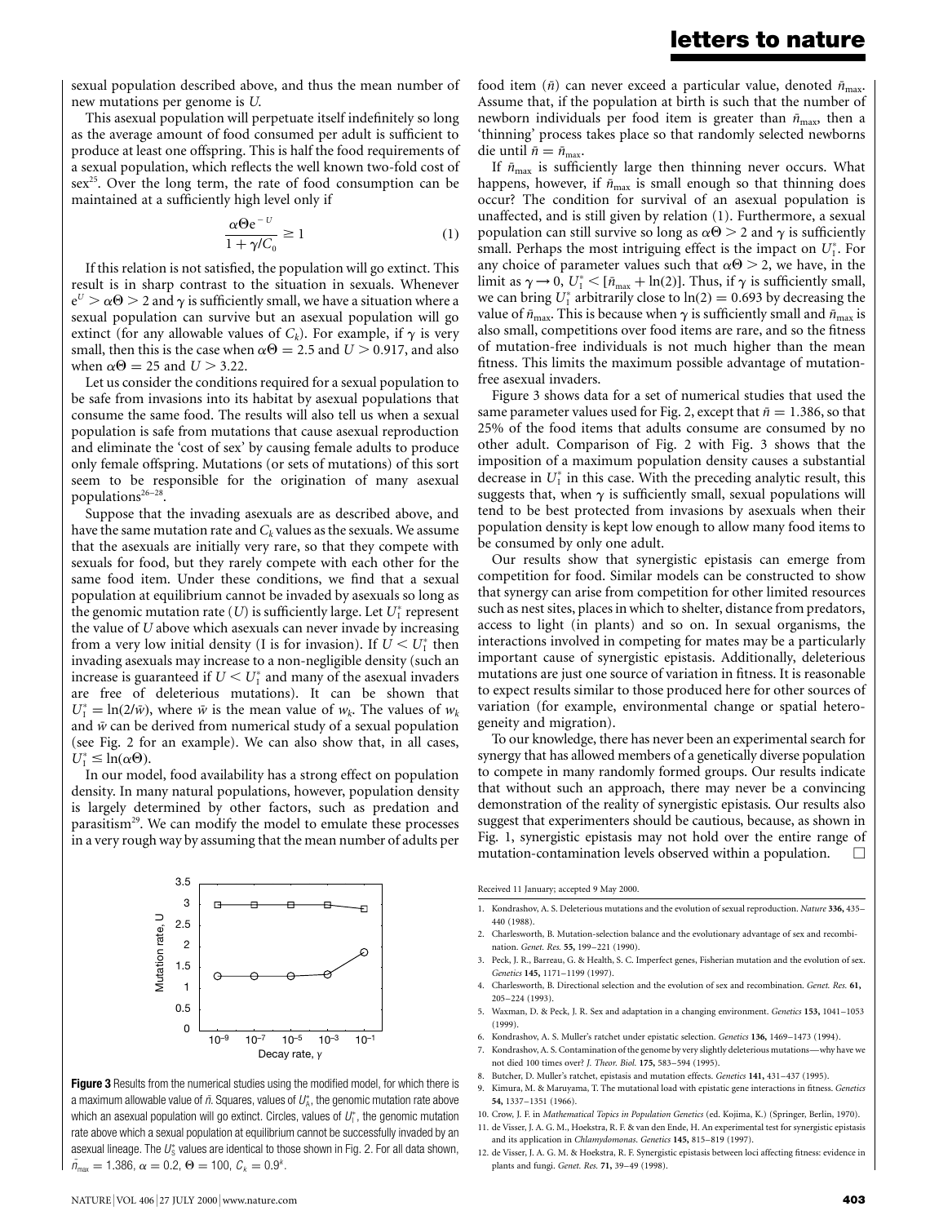sexual population described above, and thus the mean number of new mutations per genome is U.

This asexual population will perpetuate itself indefinitely so long as the average amount of food consumed per adult is sufficient to produce at least one offspring. This is half the food requirements of a sexual population, which reflects the well known two-fold cost of  $sex^{25}$ . Over the long term, the rate of food consumption can be maintained at a sufficiently high level only if

$$
\frac{\alpha \Theta e^{-U}}{1 + \gamma / C_0} \ge 1 \tag{1}
$$

If this relation is not satisfied, the population will go extinct. This result is in sharp contrast to the situation in sexuals. Whenever  $e^U > \alpha \Theta > 2$  and  $\gamma$  is sufficiently small, we have a situation where a sexual population can survive but an asexual population will go extinct (for any allowable values of  $C_k$ ). For example, if  $\gamma$  is very small, then this is the case when  $\alpha\Theta = 2.5$  and  $U > 0.917$ , and also when  $\alpha \Theta = 25$  and  $U > 3.22$ .

Let us consider the conditions required for a sexual population to be safe from invasions into its habitat by asexual populations that consume the same food. The results will also tell us when a sexual population is safe from mutations that cause asexual reproduction and eliminate the 'cost of sex' by causing female adults to produce only female offspring. Mutations (or sets of mutations) of this sort seem to be responsible for the origination of many asexual populations<sup>26-28</sup>.

Suppose that the invading asexuals are as described above, and have the same mutation rate and  $C_k$  values as the sexuals. We assume that the asexuals are initially very rare, so that they compete with sexuals for food, but they rarely compete with each other for the same food item. Under these conditions, we find that a sexual population at equilibrium cannot be invaded by asexuals so long as the genomic mutation rate  $(U)$  is sufficiently large. Let  $U^*_{{\rm I}}$  represent the value of U above which asexuals can never invade by increasing from a very low initial density (I is for invasion). If  $U \leq U^*_{\text{I}}$  then invading asexuals may increase to a non-negligible density (such an increase is guaranteed if  $U \leq U_1^*$  and many of the asexual invaders are free of deleterious mutations). It can be shown that  $U_1^* = \ln(2/\bar{w})$ , where  $\bar{w}$  is the mean value of  $w_k$ . The values of  $w_k$ and  $\bar{w}$  can be derived from numerical study of a sexual population (see Fig. 2 for an example). We can also show that, in all cases,  $U_I^* \leq \ln(\alpha \Theta).$ 

In our model, food availability has a strong effect on population density. In many natural populations, however, population density is largely determined by other factors, such as predation and parasitism<sup>29</sup>. We can modify the model to emulate these processes in a very rough way by assuming that the mean number of adults per



Figure 3 Results from the numerical studies using the modified model, for which there is a maximum allowable value of  $\bar{n}$ . Squares, values of  $U_{\text{\tiny A}}^*$ , the genomic mutation rate above which an asexual population will go extinct. Circles, values of  $U_{1}^*$ , the genomic mutation rate above which a sexual population at equilibrium cannot be successfully invaded by an asexual lineage. The  $U^*_{\rm S}$  values are identical to those shown in Fig. 2. For all data shown,  $\bar{n}_{\text{max}} = 1.386, \ \alpha = 0.2, \ \Theta = 100, \ \mathcal{C}_k = 0.9^k.$ 

food item ( $\bar{n}$ ) can never exceed a particular value, denoted  $\bar{n}_{\text{max}}$ . Assume that, if the population at birth is such that the number of newborn individuals per food item is greater than  $\bar{n}_{\text{max}}$ , then a `thinning' process takes place so that randomly selected newborns die until  $\bar{n} = \bar{n}_{\text{max}}$ .

If  $\bar{n}_{\text{max}}$  is sufficiently large then thinning never occurs. What happens, however, if  $\bar{n}_{\text{max}}$  is small enough so that thinning does occur? The condition for survival of an asexual population is unaffected, and is still given by relation (1). Furthermore, a sexual population can still survive so long as  $\alpha \Theta > 2$  and  $\gamma$  is sufficiently small. Perhaps the most intriguing effect is the impact on  $U_I^*$ . For any choice of parameter values such that  $\alpha\Theta > 2$ , we have, in the limit as  $\gamma \rightarrow 0$ ,  $U_I^* < [\bar{n}_{max} + \ln(2)]$ . Thus, if  $\gamma$  is sufficiently small, we can bring  $U_1^*$  arbitrarily close to  $ln(2) = 0.693$  by decreasing the value of  $\bar{n}_{\text{max}}$ . This is because when  $\gamma$  is sufficiently small and  $\bar{n}_{\text{max}}$  is also small, competitions over food items are rare, and so the fitness of mutation-free individuals is not much higher than the mean fitness. This limits the maximum possible advantage of mutationfree asexual invaders.

Figure 3 shows data for a set of numerical studies that used the same parameter values used for Fig. 2, except that  $\bar{n} = 1.386$ , so that 25% of the food items that adults consume are consumed by no other adult. Comparison of Fig. 2 with Fig. 3 shows that the imposition of a maximum population density causes a substantial decrease in  $U_1^*$  in this case. With the preceding analytic result, this suggests that, when  $\gamma$  is sufficiently small, sexual populations will tend to be best protected from invasions by asexuals when their population density is kept low enough to allow many food items to be consumed by only one adult.

Our results show that synergistic epistasis can emerge from competition for food. Similar models can be constructed to show that synergy can arise from competition for other limited resources such as nest sites, places in which to shelter, distance from predators, access to light (in plants) and so on. In sexual organisms, the interactions involved in competing for mates may be a particularly important cause of synergistic epistasis. Additionally, deleterious mutations are just one source of variation in fitness. It is reasonable to expect results similar to those produced here for other sources of variation (for example, environmental change or spatial heterogeneity and migration).

To our knowledge, there has never been an experimental search for synergy that has allowed members of a genetically diverse population to compete in many randomly formed groups. Our results indicate that without such an approach, there may never be a convincing demonstration of the reality of synergistic epistasis. Our results also suggest that experimenters should be cautious, because, as shown in Fig. 1, synergistic epistasis may not hold over the entire range of mutation-contamination levels observed within a population.

Received 11 January; accepted 9 May 2000.

- 1. Kondrashov, A. S. Deleterious mutations and the evolution of sexual reproduction. Nature 336, 435-440 (1988).
- 2. Charlesworth, B. Mutation-selection balance and the evolutionary advantage of sex and recombination. Genet. Res. 55, 199-221 (1990).
- 3. Peck, J. R., Barreau, G. & Health, S. C. Imperfect genes, Fisherian mutation and the evolution of sex. Genetics 145, 1171-1199 (1997).
- 4. Charlesworth, B. Directional selection and the evolution of sex and recombination. Genet. Res. 61, 205±224 (1993).
- 5. Waxman, D. & Peck, J. R. Sex and adaptation in a changing environment. Genetics 153, 1041-1053 (1999).
- 6. Kondrashov, A. S. Muller's ratchet under epistatic selection. Genetics 136, 1469-1473 (1994).
- 7. Kondrashov, A. S. Contamination of the genome by very slightly deleterious mutations—why have we not died 100 times over? *I. Theor. Biol.* 175, 583-594 (1995).
- 8. Butcher, D. Muller's ratchet, epistasis and mutation effects. Genetics 141, 431-437 (1995).
- 9. Kimura, M. & Maruyama, T. The mutational load with epistatic gene interactions in fitness. Genetics 54, 1337±1351 (1966).
- 10. Crow, J. F. in Mathematical Topics in Population Genetics (ed. Kojima, K.) (Springer, Berlin, 1970). 11. de Visser, J. A. G. M., Hoekstra, R. F. & van den Ende, H. An experimental test for synergistic epistasis and its application in Chlamydomonas. Genetics 145, 815-819 (1997).
- 12. de Visser, J. A. G. M. & Hoekstra, R. F. Synergistic epistasis between loci affecting fitness: evidence in plants and fungi. Genet. Res. 71, 39-49 (1998).